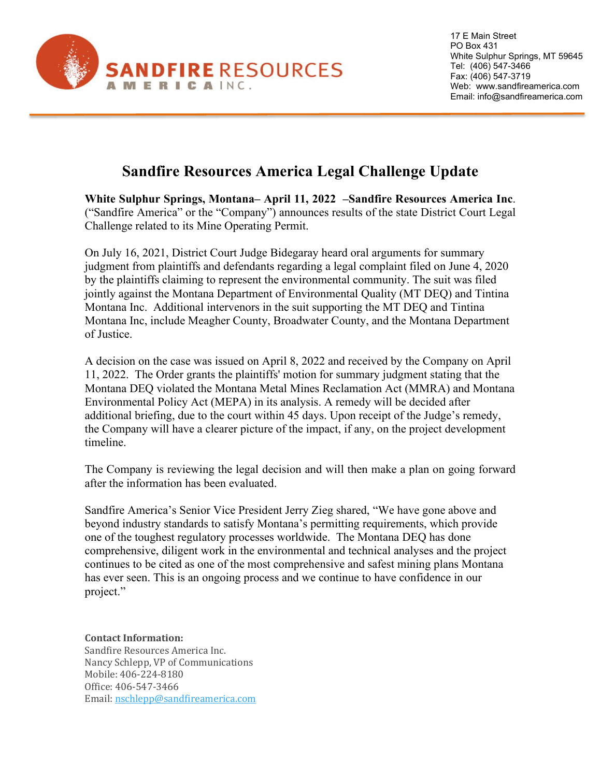

17 E Main Street PO Box 431 White Sulphur Springs, MT 59645 Tel: (406) 547-3466 Fax: (406) 547-3719 Web: www.sandfireamerica.com Email: info@sandfireamerica.com

## **Sandfire Resources America Legal Challenge Update**

**White Sulphur Springs, Montana– April 11, 2022 –Sandfire Resources America Inc**. ("Sandfire America" or the "Company") announces results of the state District Court Legal Challenge related to its Mine Operating Permit.

On July 16, 2021, District Court Judge Bidegaray heard oral arguments for summary judgment from plaintiffs and defendants regarding a legal complaint filed on June 4, 2020 by the plaintiffs claiming to represent the environmental community. The suit was filed jointly against the Montana Department of Environmental Quality (MT DEQ) and Tintina Montana Inc. Additional intervenors in the suit supporting the MT DEQ and Tintina Montana Inc, include Meagher County, Broadwater County, and the Montana Department of Justice.

A decision on the case was issued on April 8, 2022 and received by the Company on April 11, 2022. The Order grants the plaintiffs' motion for summary judgment stating that the Montana DEQ violated the Montana Metal Mines Reclamation Act (MMRA) and Montana Environmental Policy Act (MEPA) in its analysis. A remedy will be decided after additional briefing, due to the court within 45 days. Upon receipt of the Judge's remedy, the Company will have a clearer picture of the impact, if any, on the project development timeline.

The Company is reviewing the legal decision and will then make a plan on going forward after the information has been evaluated.

Sandfire America's Senior Vice President Jerry Zieg shared, "We have gone above and beyond industry standards to satisfy Montana's permitting requirements, which provide one of the toughest regulatory processes worldwide. The Montana DEQ has done comprehensive, diligent work in the environmental and technical analyses and the project continues to be cited as one of the most comprehensive and safest mining plans Montana has ever seen. This is an ongoing process and we continue to have confidence in our project."

## **Contact Information:**

Sandfire Resources America Inc. Nancy Schlepp, VP of Communications Mobile: 406-224-8180 Office: 406-547-3466 Email: [nschlepp@sandfireamerica.com](mailto:nschlepp@sandfireamerica.com)